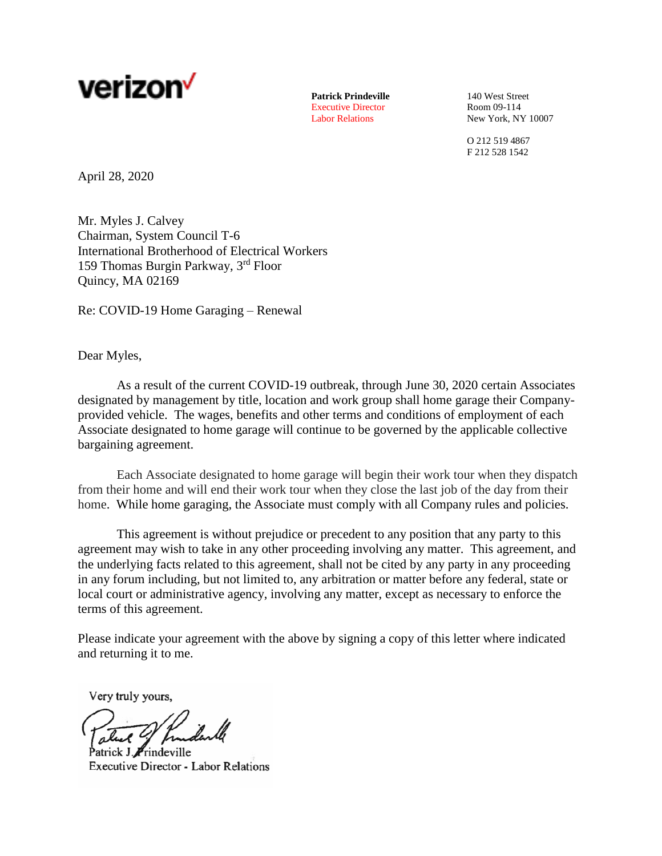

**Patrick Prindeville** 140 West Street<br>
Executive Director<br>
Room 09-114 Executive Director

Labor Relations New York, NY 10007

O 212 519 4867 F 212 528 1542

April 28, 2020

Mr. Myles J. Calvey Chairman, System Council T-6 International Brotherhood of Electrical Workers 159 Thomas Burgin Parkway, 3rd Floor Quincy, MA 02169

Re: COVID-19 Home Garaging – Renewal

Dear Myles,

As a result of the current COVID-19 outbreak, through June 30, 2020 certain Associates designated by management by title, location and work group shall home garage their Companyprovided vehicle. The wages, benefits and other terms and conditions of employment of each Associate designated to home garage will continue to be governed by the applicable collective bargaining agreement.

Each Associate designated to home garage will begin their work tour when they dispatch from their home and will end their work tour when they close the last job of the day from their home. While home garaging, the Associate must comply with all Company rules and policies.

This agreement is without prejudice or precedent to any position that any party to this agreement may wish to take in any other proceeding involving any matter. This agreement, and the underlying facts related to this agreement, shall not be cited by any party in any proceeding in any forum including, but not limited to, any arbitration or matter before any federal, state or local court or administrative agency, involving any matter, except as necessary to enforce the terms of this agreement.

Please indicate your agreement with the above by signing a copy of this letter where indicated and returning it to me.

Very truly yours,

atrick J. Frindeville **Executive Director - Labor Relations**